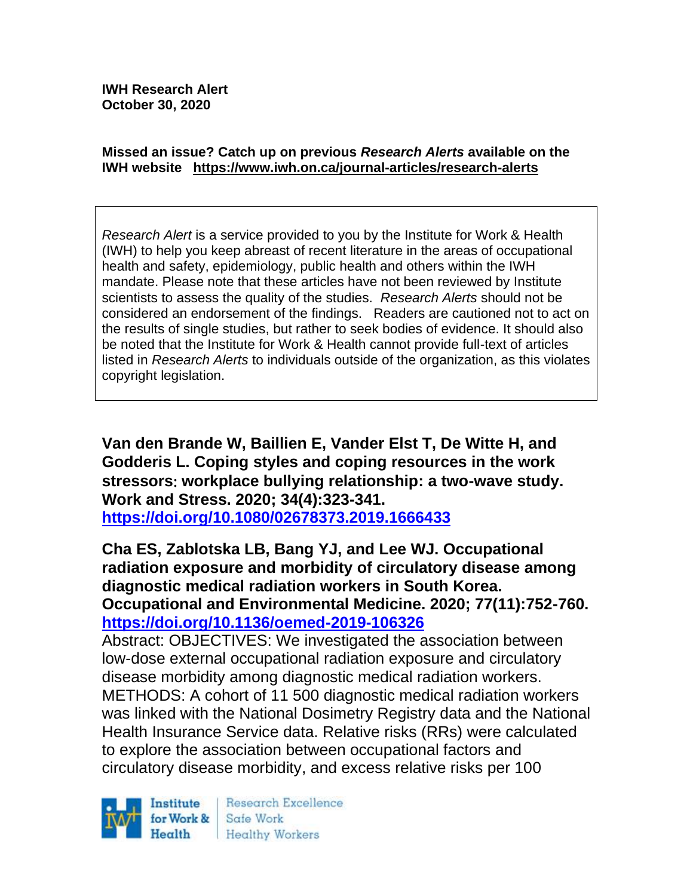#### **Missed an issue? Catch up on previous** *Research Alerts* **available on the [IWH website](http://www.iwh.on.ca/research-alerts) <https://www.iwh.on.ca/journal-articles/research-alerts>**

*Research Alert* is a service provided to you by the Institute for Work & Health (IWH) to help you keep abreast of recent literature in the areas of occupational health and safety, epidemiology, public health and others within the IWH mandate. Please note that these articles have not been reviewed by Institute scientists to assess the quality of the studies. *Research Alerts* should not be considered an endorsement of the findings. Readers are cautioned not to act on the results of single studies, but rather to seek bodies of evidence. It should also be noted that the Institute for Work & Health cannot provide full-text of articles listed in *Research Alerts* to individuals outside of the organization, as this violates copyright legislation.

**Van den Brande W, Baillien E, Vander Elst T, De Witte H, and Godderis L. Coping styles and coping resources in the work stressors workplace bullying relationship: a two-wave study. Work and Stress. 2020; 34(4):323-341.** 

**<https://doi.org/10.1080/02678373.2019.1666433>** 

**Cha ES, Zablotska LB, Bang YJ, and Lee WJ. Occupational radiation exposure and morbidity of circulatory disease among diagnostic medical radiation workers in South Korea. Occupational and Environmental Medicine. 2020; 77(11):752-760. <https://doi.org/10.1136/oemed-2019-106326>** 

Abstract: OBJECTIVES: We investigated the association between low-dose external occupational radiation exposure and circulatory disease morbidity among diagnostic medical radiation workers. METHODS: A cohort of 11 500 diagnostic medical radiation workers was linked with the National Dosimetry Registry data and the National Health Insurance Service data. Relative risks (RRs) were calculated to explore the association between occupational factors and circulatory disease morbidity, and excess relative risks per 100

Institute for Work & Health

Research Excellence Safe Work **Healthy Workers**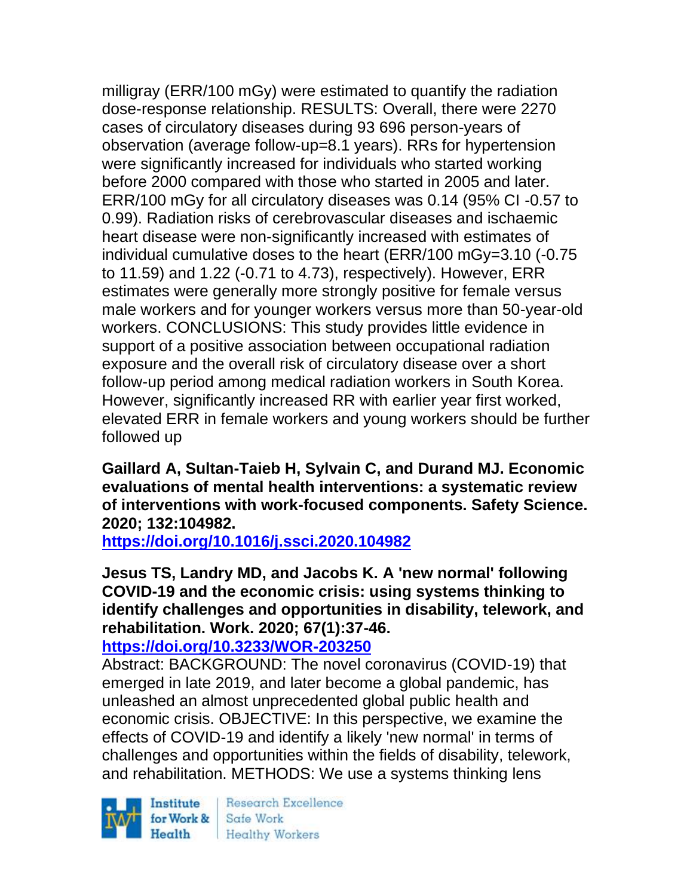milligray (ERR/100 mGy) were estimated to quantify the radiation dose-response relationship. RESULTS: Overall, there were 2270 cases of circulatory diseases during 93 696 person-years of observation (average follow-up=8.1 years). RRs for hypertension were significantly increased for individuals who started working before 2000 compared with those who started in 2005 and later. ERR/100 mGy for all circulatory diseases was 0.14 (95% CI -0.57 to 0.99). Radiation risks of cerebrovascular diseases and ischaemic heart disease were non-significantly increased with estimates of individual cumulative doses to the heart (ERR/100 mGy=3.10 (-0.75 to 11.59) and 1.22 (-0.71 to 4.73), respectively). However, ERR estimates were generally more strongly positive for female versus male workers and for younger workers versus more than 50-year-old workers. CONCLUSIONS: This study provides little evidence in support of a positive association between occupational radiation exposure and the overall risk of circulatory disease over a short follow-up period among medical radiation workers in South Korea. However, significantly increased RR with earlier year first worked, elevated ERR in female workers and young workers should be further followed up

**Gaillard A, Sultan-Taieb H, Sylvain C, and Durand MJ. Economic evaluations of mental health interventions: a systematic review of interventions with work-focused components. Safety Science. 2020; 132:104982.**

**<https://doi.org/10.1016/j.ssci.2020.104982>** 

**Jesus TS, Landry MD, and Jacobs K. A 'new normal' following COVID-19 and the economic crisis: using systems thinking to identify challenges and opportunities in disability, telework, and rehabilitation. Work. 2020; 67(1):37-46.** 

**<https://doi.org/10.3233/WOR-203250>** 

Abstract: BACKGROUND: The novel coronavirus (COVID-19) that emerged in late 2019, and later become a global pandemic, has unleashed an almost unprecedented global public health and economic crisis. OBJECTIVE: In this perspective, we examine the effects of COVID-19 and identify a likely 'new normal' in terms of challenges and opportunities within the fields of disability, telework, and rehabilitation. METHODS: We use a systems thinking lens

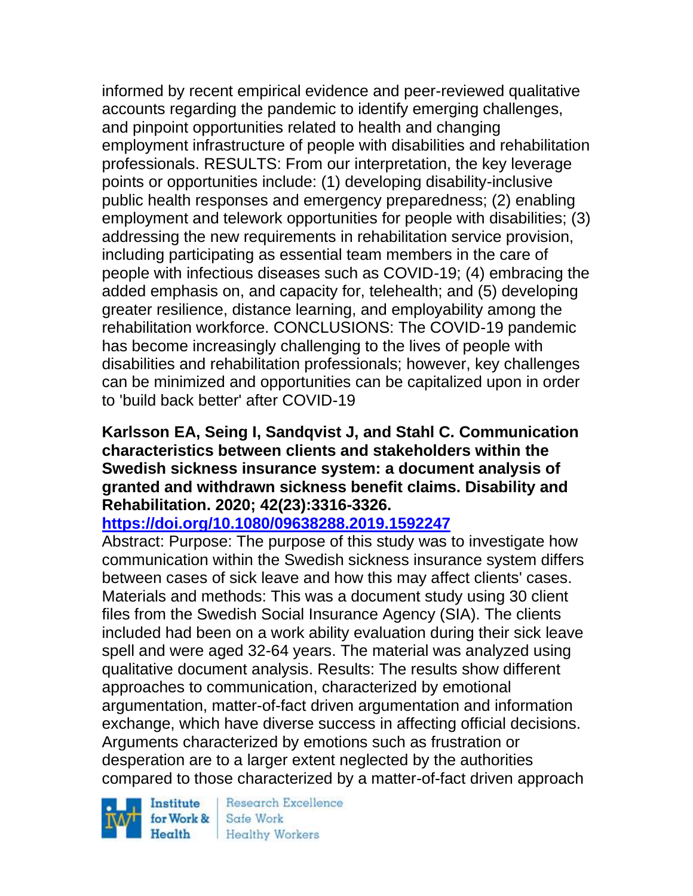informed by recent empirical evidence and peer-reviewed qualitative accounts regarding the pandemic to identify emerging challenges, and pinpoint opportunities related to health and changing employment infrastructure of people with disabilities and rehabilitation professionals. RESULTS: From our interpretation, the key leverage points or opportunities include: (1) developing disability-inclusive public health responses and emergency preparedness; (2) enabling employment and telework opportunities for people with disabilities; (3) addressing the new requirements in rehabilitation service provision, including participating as essential team members in the care of people with infectious diseases such as COVID-19; (4) embracing the added emphasis on, and capacity for, telehealth; and (5) developing greater resilience, distance learning, and employability among the rehabilitation workforce. CONCLUSIONS: The COVID-19 pandemic has become increasingly challenging to the lives of people with disabilities and rehabilitation professionals; however, key challenges can be minimized and opportunities can be capitalized upon in order to 'build back better' after COVID-19

## **Karlsson EA, Seing I, Sandqvist J, and Stahl C. Communication characteristics between clients and stakeholders within the Swedish sickness insurance system: a document analysis of granted and withdrawn sickness benefit claims. Disability and Rehabilitation. 2020; 42(23):3316-3326.**

**<https://doi.org/10.1080/09638288.2019.1592247>** 

Abstract: Purpose: The purpose of this study was to investigate how communication within the Swedish sickness insurance system differs between cases of sick leave and how this may affect clients' cases. Materials and methods: This was a document study using 30 client files from the Swedish Social Insurance Agency (SIA). The clients included had been on a work ability evaluation during their sick leave spell and were aged 32-64 years. The material was analyzed using qualitative document analysis. Results: The results show different approaches to communication, characterized by emotional argumentation, matter-of-fact driven argumentation and information exchange, which have diverse success in affecting official decisions. Arguments characterized by emotions such as frustration or desperation are to a larger extent neglected by the authorities compared to those characterized by a matter-of-fact driven approach

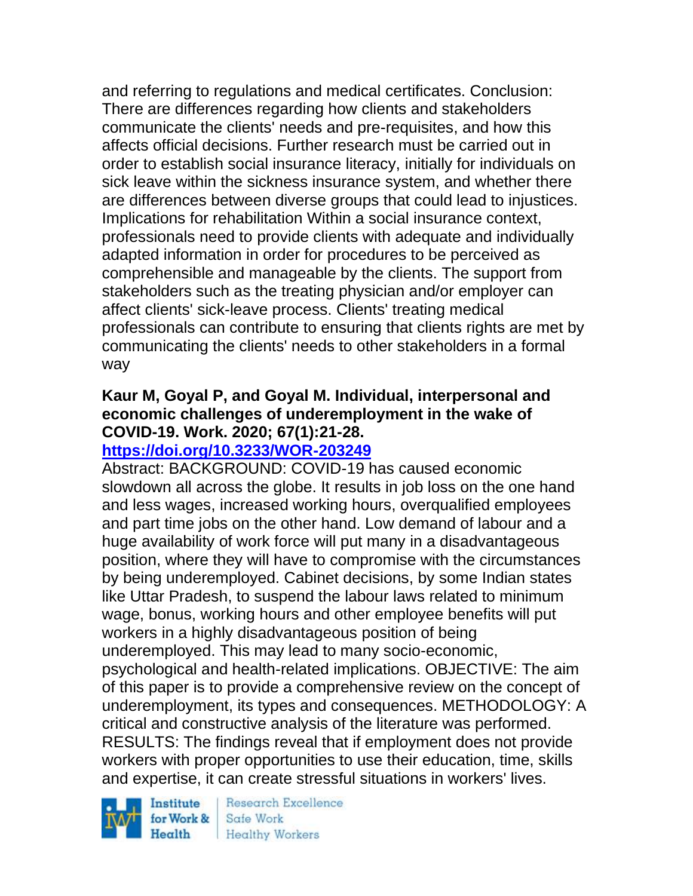and referring to regulations and medical certificates. Conclusion: There are differences regarding how clients and stakeholders communicate the clients' needs and pre-requisites, and how this affects official decisions. Further research must be carried out in order to establish social insurance literacy, initially for individuals on sick leave within the sickness insurance system, and whether there are differences between diverse groups that could lead to injustices. Implications for rehabilitation Within a social insurance context, professionals need to provide clients with adequate and individually adapted information in order for procedures to be perceived as comprehensible and manageable by the clients. The support from stakeholders such as the treating physician and/or employer can affect clients' sick-leave process. Clients' treating medical professionals can contribute to ensuring that clients rights are met by communicating the clients' needs to other stakeholders in a formal way

# **Kaur M, Goyal P, and Goyal M. Individual, interpersonal and economic challenges of underemployment in the wake of COVID-19. Work. 2020; 67(1):21-28.**

# **<https://doi.org/10.3233/WOR-203249>**

Abstract: BACKGROUND: COVID-19 has caused economic slowdown all across the globe. It results in job loss on the one hand and less wages, increased working hours, overqualified employees and part time jobs on the other hand. Low demand of labour and a huge availability of work force will put many in a disadvantageous position, where they will have to compromise with the circumstances by being underemployed. Cabinet decisions, by some Indian states like Uttar Pradesh, to suspend the labour laws related to minimum wage, bonus, working hours and other employee benefits will put workers in a highly disadvantageous position of being underemployed. This may lead to many socio-economic, psychological and health-related implications. OBJECTIVE: The aim of this paper is to provide a comprehensive review on the concept of underemployment, its types and consequences. METHODOLOGY: A critical and constructive analysis of the literature was performed. RESULTS: The findings reveal that if employment does not provide workers with proper opportunities to use their education, time, skills and expertise, it can create stressful situations in workers' lives.

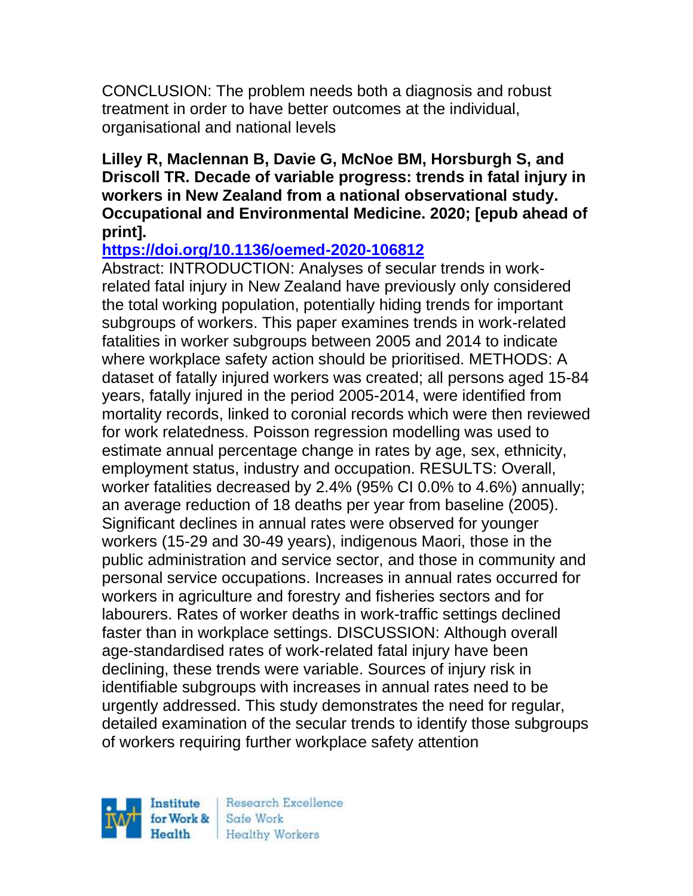CONCLUSION: The problem needs both a diagnosis and robust treatment in order to have better outcomes at the individual, organisational and national levels

#### **Lilley R, Maclennan B, Davie G, McNoe BM, Horsburgh S, and Driscoll TR. Decade of variable progress: trends in fatal injury in workers in New Zealand from a national observational study. Occupational and Environmental Medicine. 2020; [epub ahead of print].**

# **<https://doi.org/10.1136/oemed-2020-106812>**

Abstract: INTRODUCTION: Analyses of secular trends in workrelated fatal injury in New Zealand have previously only considered the total working population, potentially hiding trends for important subgroups of workers. This paper examines trends in work-related fatalities in worker subgroups between 2005 and 2014 to indicate where workplace safety action should be prioritised. METHODS: A dataset of fatally injured workers was created; all persons aged 15-84 years, fatally injured in the period 2005-2014, were identified from mortality records, linked to coronial records which were then reviewed for work relatedness. Poisson regression modelling was used to estimate annual percentage change in rates by age, sex, ethnicity, employment status, industry and occupation. RESULTS: Overall, worker fatalities decreased by 2.4% (95% CI 0.0% to 4.6%) annually; an average reduction of 18 deaths per year from baseline (2005). Significant declines in annual rates were observed for younger workers (15-29 and 30-49 years), indigenous Maori, those in the public administration and service sector, and those in community and personal service occupations. Increases in annual rates occurred for workers in agriculture and forestry and fisheries sectors and for labourers. Rates of worker deaths in work-traffic settings declined faster than in workplace settings. DISCUSSION: Although overall age-standardised rates of work-related fatal injury have been declining, these trends were variable. Sources of injury risk in identifiable subgroups with increases in annual rates need to be urgently addressed. This study demonstrates the need for regular, detailed examination of the secular trends to identify those subgroups of workers requiring further workplace safety attention

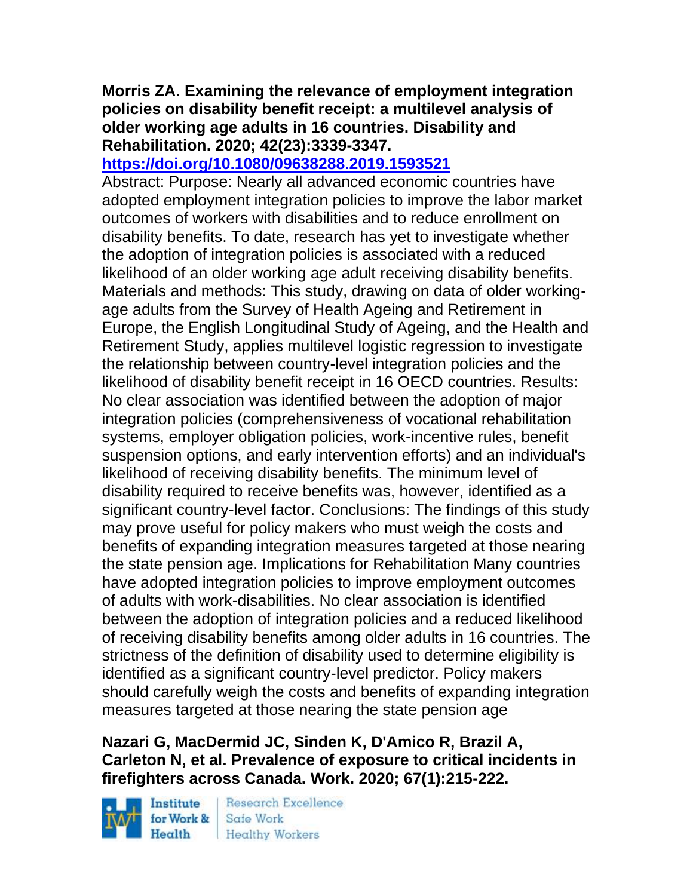# **Morris ZA. Examining the relevance of employment integration policies on disability benefit receipt: a multilevel analysis of older working age adults in 16 countries. Disability and Rehabilitation. 2020; 42(23):3339-3347.**

# **<https://doi.org/10.1080/09638288.2019.1593521>**

Abstract: Purpose: Nearly all advanced economic countries have adopted employment integration policies to improve the labor market outcomes of workers with disabilities and to reduce enrollment on disability benefits. To date, research has yet to investigate whether the adoption of integration policies is associated with a reduced likelihood of an older working age adult receiving disability benefits. Materials and methods: This study, drawing on data of older workingage adults from the Survey of Health Ageing and Retirement in Europe, the English Longitudinal Study of Ageing, and the Health and Retirement Study, applies multilevel logistic regression to investigate the relationship between country-level integration policies and the likelihood of disability benefit receipt in 16 OECD countries. Results: No clear association was identified between the adoption of major integration policies (comprehensiveness of vocational rehabilitation systems, employer obligation policies, work-incentive rules, benefit suspension options, and early intervention efforts) and an individual's likelihood of receiving disability benefits. The minimum level of disability required to receive benefits was, however, identified as a significant country-level factor. Conclusions: The findings of this study may prove useful for policy makers who must weigh the costs and benefits of expanding integration measures targeted at those nearing the state pension age. Implications for Rehabilitation Many countries have adopted integration policies to improve employment outcomes of adults with work-disabilities. No clear association is identified between the adoption of integration policies and a reduced likelihood of receiving disability benefits among older adults in 16 countries. The strictness of the definition of disability used to determine eligibility is identified as a significant country-level predictor. Policy makers should carefully weigh the costs and benefits of expanding integration measures targeted at those nearing the state pension age

# **Nazari G, MacDermid JC, Sinden K, D'Amico R, Brazil A, Carleton N, et al. Prevalence of exposure to critical incidents in firefighters across Canada. Work. 2020; 67(1):215-222.**

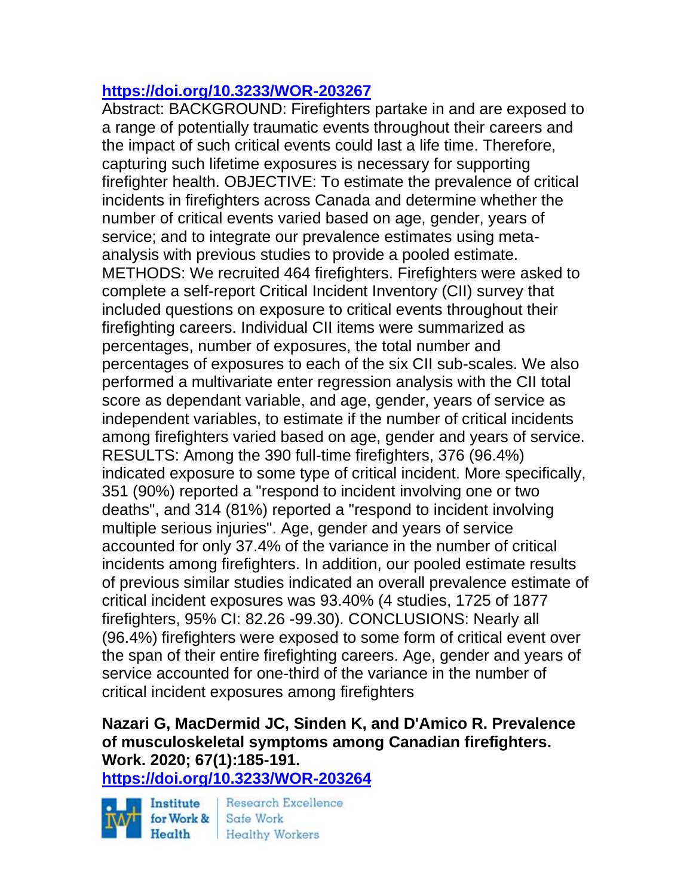# **<https://doi.org/10.3233/WOR-203267>**

Abstract: BACKGROUND: Firefighters partake in and are exposed to a range of potentially traumatic events throughout their careers and the impact of such critical events could last a life time. Therefore, capturing such lifetime exposures is necessary for supporting firefighter health. OBJECTIVE: To estimate the prevalence of critical incidents in firefighters across Canada and determine whether the number of critical events varied based on age, gender, years of service; and to integrate our prevalence estimates using metaanalysis with previous studies to provide a pooled estimate. METHODS: We recruited 464 firefighters. Firefighters were asked to complete a self-report Critical Incident Inventory (CII) survey that included questions on exposure to critical events throughout their firefighting careers. Individual CII items were summarized as percentages, number of exposures, the total number and percentages of exposures to each of the six CII sub-scales. We also performed a multivariate enter regression analysis with the CII total score as dependant variable, and age, gender, years of service as independent variables, to estimate if the number of critical incidents among firefighters varied based on age, gender and years of service. RESULTS: Among the 390 full-time firefighters, 376 (96.4%) indicated exposure to some type of critical incident. More specifically, 351 (90%) reported a "respond to incident involving one or two deaths", and 314 (81%) reported a "respond to incident involving multiple serious injuries". Age, gender and years of service accounted for only 37.4% of the variance in the number of critical incidents among firefighters. In addition, our pooled estimate results of previous similar studies indicated an overall prevalence estimate of critical incident exposures was 93.40% (4 studies, 1725 of 1877 firefighters, 95% CI: 82.26 -99.30). CONCLUSIONS: Nearly all (96.4%) firefighters were exposed to some form of critical event over the span of their entire firefighting careers. Age, gender and years of service accounted for one-third of the variance in the number of critical incident exposures among firefighters

# **Nazari G, MacDermid JC, Sinden K, and D'Amico R. Prevalence of musculoskeletal symptoms among Canadian firefighters. Work. 2020; 67(1):185-191.**

**<https://doi.org/10.3233/WOR-203264>**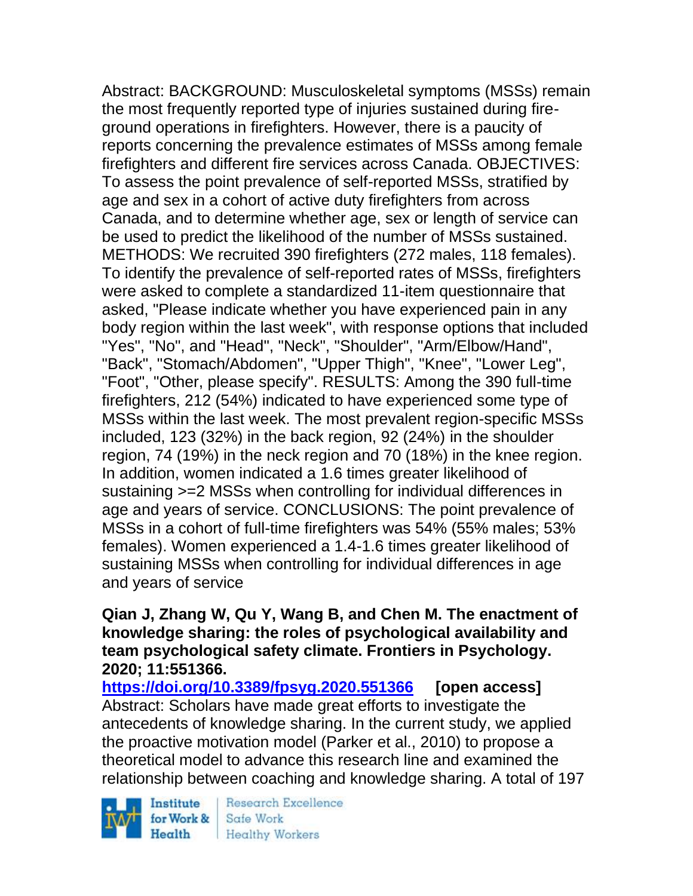Abstract: BACKGROUND: Musculoskeletal symptoms (MSSs) remain the most frequently reported type of injuries sustained during fireground operations in firefighters. However, there is a paucity of reports concerning the prevalence estimates of MSSs among female firefighters and different fire services across Canada. OBJECTIVES: To assess the point prevalence of self-reported MSSs, stratified by age and sex in a cohort of active duty firefighters from across Canada, and to determine whether age, sex or length of service can be used to predict the likelihood of the number of MSSs sustained. METHODS: We recruited 390 firefighters (272 males, 118 females). To identify the prevalence of self-reported rates of MSSs, firefighters were asked to complete a standardized 11-item questionnaire that asked, "Please indicate whether you have experienced pain in any body region within the last week", with response options that included "Yes", "No", and "Head", "Neck", "Shoulder", "Arm/Elbow/Hand", "Back", "Stomach/Abdomen", "Upper Thigh", "Knee", "Lower Leg", "Foot", "Other, please specify". RESULTS: Among the 390 full-time firefighters, 212 (54%) indicated to have experienced some type of MSSs within the last week. The most prevalent region-specific MSSs included, 123 (32%) in the back region, 92 (24%) in the shoulder region, 74 (19%) in the neck region and 70 (18%) in the knee region. In addition, women indicated a 1.6 times greater likelihood of sustaining >=2 MSSs when controlling for individual differences in age and years of service. CONCLUSIONS: The point prevalence of MSSs in a cohort of full-time firefighters was 54% (55% males; 53% females). Women experienced a 1.4-1.6 times greater likelihood of sustaining MSSs when controlling for individual differences in age and years of service

# **Qian J, Zhang W, Qu Y, Wang B, and Chen M. The enactment of knowledge sharing: the roles of psychological availability and team psychological safety climate. Frontiers in Psychology. 2020; 11:551366.**

**<https://doi.org/10.3389/fpsyg.2020.551366> [open access]** Abstract: Scholars have made great efforts to investigate the antecedents of knowledge sharing. In the current study, we applied the proactive motivation model (Parker et al., 2010) to propose a theoretical model to advance this research line and examined the relationship between coaching and knowledge sharing. A total of 197



Research Excellence Safe Work Healthy Workers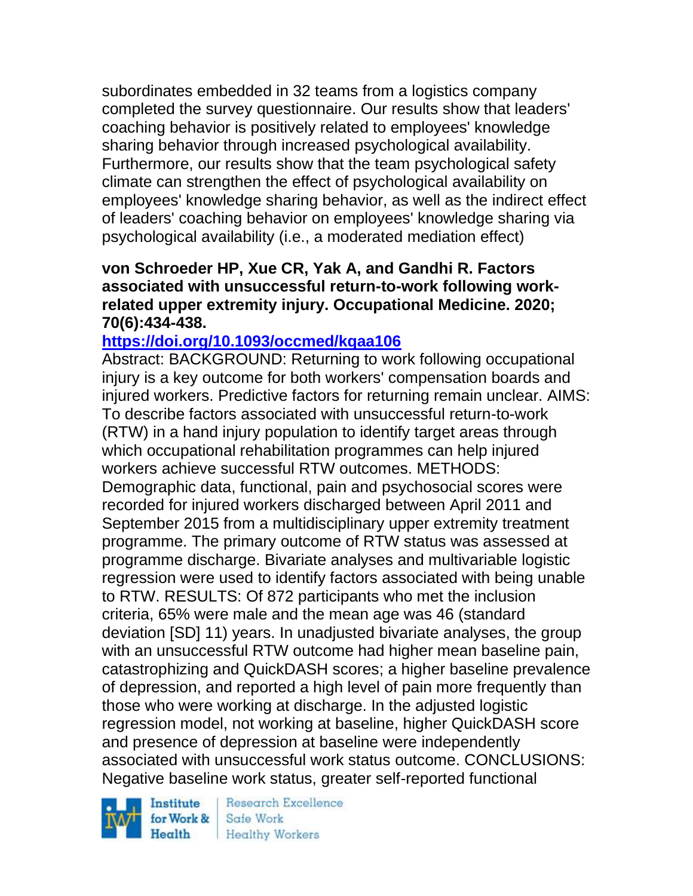subordinates embedded in 32 teams from a logistics company completed the survey questionnaire. Our results show that leaders' coaching behavior is positively related to employees' knowledge sharing behavior through increased psychological availability. Furthermore, our results show that the team psychological safety climate can strengthen the effect of psychological availability on employees' knowledge sharing behavior, as well as the indirect effect of leaders' coaching behavior on employees' knowledge sharing via psychological availability (i.e., a moderated mediation effect)

#### **von Schroeder HP, Xue CR, Yak A, and Gandhi R. Factors associated with unsuccessful return-to-work following workrelated upper extremity injury. Occupational Medicine. 2020; 70(6):434-438.**

# **<https://doi.org/10.1093/occmed/kqaa106>**

Abstract: BACKGROUND: Returning to work following occupational injury is a key outcome for both workers' compensation boards and injured workers. Predictive factors for returning remain unclear. AIMS: To describe factors associated with unsuccessful return-to-work (RTW) in a hand injury population to identify target areas through which occupational rehabilitation programmes can help injured workers achieve successful RTW outcomes. METHODS: Demographic data, functional, pain and psychosocial scores were recorded for injured workers discharged between April 2011 and September 2015 from a multidisciplinary upper extremity treatment programme. The primary outcome of RTW status was assessed at programme discharge. Bivariate analyses and multivariable logistic regression were used to identify factors associated with being unable to RTW. RESULTS: Of 872 participants who met the inclusion criteria, 65% were male and the mean age was 46 (standard deviation [SD] 11) years. In unadjusted bivariate analyses, the group with an unsuccessful RTW outcome had higher mean baseline pain, catastrophizing and QuickDASH scores; a higher baseline prevalence of depression, and reported a high level of pain more frequently than those who were working at discharge. In the adjusted logistic regression model, not working at baseline, higher QuickDASH score and presence of depression at baseline were independently associated with unsuccessful work status outcome. CONCLUSIONS: Negative baseline work status, greater self-reported functional

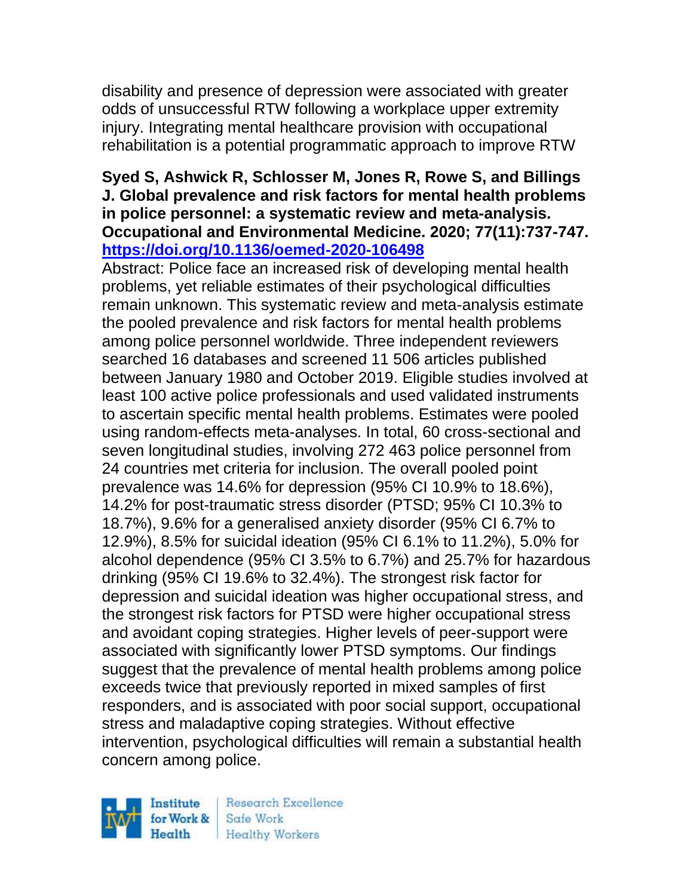disability and presence of depression were associated with greater odds of unsuccessful RTW following a workplace upper extremity injury. Integrating mental healthcare provision with occupational rehabilitation is a potential programmatic approach to improve RTW

## **Syed S, Ashwick R, Schlosser M, Jones R, Rowe S, and Billings J. Global prevalence and risk factors for mental health problems in police personnel: a systematic review and meta-analysis. Occupational and Environmental Medicine. 2020; 77(11):737-747. <https://doi.org/10.1136/oemed-2020-106498>**

Abstract: Police face an increased risk of developing mental health problems, yet reliable estimates of their psychological difficulties remain unknown. This systematic review and meta-analysis estimate the pooled prevalence and risk factors for mental health problems among police personnel worldwide. Three independent reviewers searched 16 databases and screened 11 506 articles published between January 1980 and October 2019. Eligible studies involved at least 100 active police professionals and used validated instruments to ascertain specific mental health problems. Estimates were pooled using random-effects meta-analyses. In total, 60 cross-sectional and seven longitudinal studies, involving 272 463 police personnel from 24 countries met criteria for inclusion. The overall pooled point prevalence was 14.6% for depression (95% CI 10.9% to 18.6%), 14.2% for post-traumatic stress disorder (PTSD; 95% CI 10.3% to 18.7%), 9.6% for a generalised anxiety disorder (95% CI 6.7% to 12.9%), 8.5% for suicidal ideation (95% CI 6.1% to 11.2%), 5.0% for alcohol dependence (95% CI 3.5% to 6.7%) and 25.7% for hazardous drinking (95% CI 19.6% to 32.4%). The strongest risk factor for depression and suicidal ideation was higher occupational stress, and the strongest risk factors for PTSD were higher occupational stress and avoidant coping strategies. Higher levels of peer-support were associated with significantly lower PTSD symptoms. Our findings suggest that the prevalence of mental health problems among police exceeds twice that previously reported in mixed samples of first responders, and is associated with poor social support, occupational stress and maladaptive coping strategies. Without effective intervention, psychological difficulties will remain a substantial health concern among police.

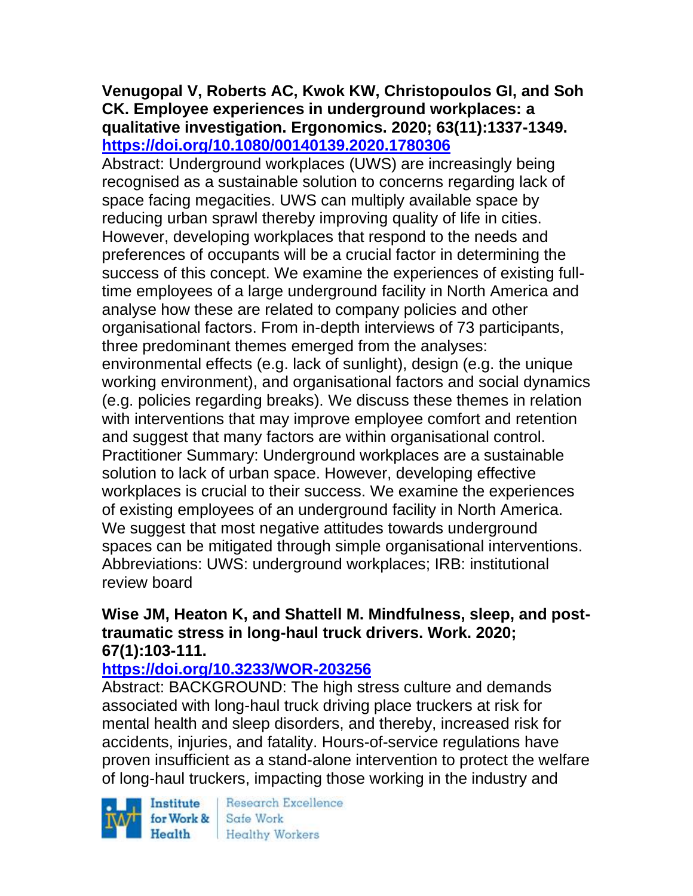# **Venugopal V, Roberts AC, Kwok KW, Christopoulos GI, and Soh CK. Employee experiences in underground workplaces: a qualitative investigation. Ergonomics. 2020; 63(11):1337-1349. <https://doi.org/10.1080/00140139.2020.1780306>**

Abstract: Underground workplaces (UWS) are increasingly being recognised as a sustainable solution to concerns regarding lack of space facing megacities. UWS can multiply available space by reducing urban sprawl thereby improving quality of life in cities. However, developing workplaces that respond to the needs and preferences of occupants will be a crucial factor in determining the success of this concept. We examine the experiences of existing fulltime employees of a large underground facility in North America and analyse how these are related to company policies and other organisational factors. From in-depth interviews of 73 participants, three predominant themes emerged from the analyses: environmental effects (e.g. lack of sunlight), design (e.g. the unique working environment), and organisational factors and social dynamics (e.g. policies regarding breaks). We discuss these themes in relation with interventions that may improve employee comfort and retention and suggest that many factors are within organisational control. Practitioner Summary: Underground workplaces are a sustainable solution to lack of urban space. However, developing effective workplaces is crucial to their success. We examine the experiences of existing employees of an underground facility in North America. We suggest that most negative attitudes towards underground spaces can be mitigated through simple organisational interventions. Abbreviations: UWS: underground workplaces; IRB: institutional review board

#### **Wise JM, Heaton K, and Shattell M. Mindfulness, sleep, and posttraumatic stress in long-haul truck drivers. Work. 2020; 67(1):103-111.**

# **<https://doi.org/10.3233/WOR-203256>**

Abstract: BACKGROUND: The high stress culture and demands associated with long-haul truck driving place truckers at risk for mental health and sleep disorders, and thereby, increased risk for accidents, injuries, and fatality. Hours-of-service regulations have proven insufficient as a stand-alone intervention to protect the welfare of long-haul truckers, impacting those working in the industry and

Institute